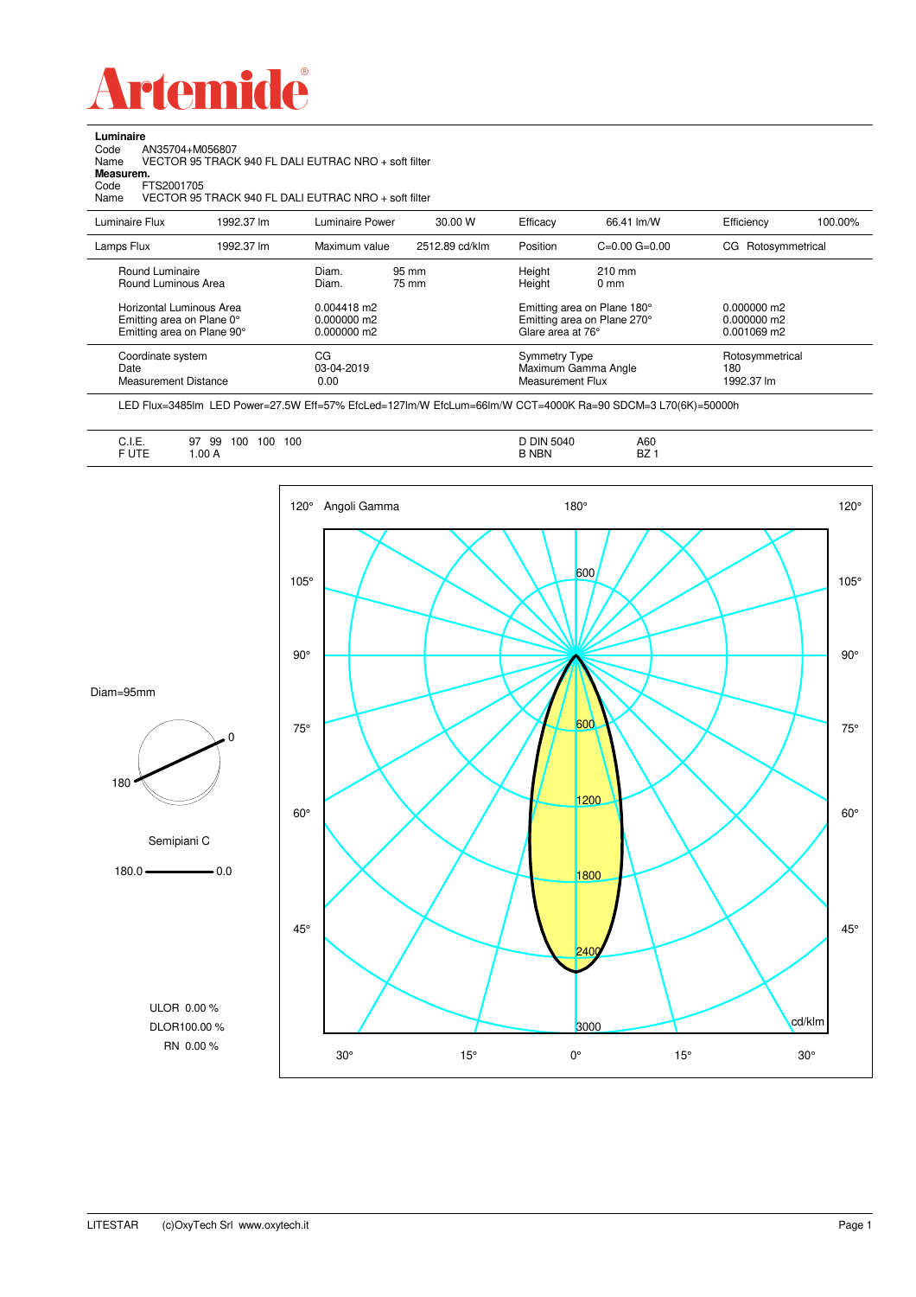

**Luminaire**

| AN35704+M056807<br>Code<br>Name<br>Measurem.<br>FTS2001705<br>Code<br>Name          |            | VECTOR 95 TRACK 940 FL DALI EUTRAC NRO + soft filter<br>VECTOR 95 TRACK 940 FL DALI EUTRAC NRO + soft filter |                |                                                 |                                                            |                                           |         |
|-------------------------------------------------------------------------------------|------------|--------------------------------------------------------------------------------------------------------------|----------------|-------------------------------------------------|------------------------------------------------------------|-------------------------------------------|---------|
| Luminaire Flux                                                                      | 1992.37 lm | Luminaire Power                                                                                              | 30.00 W        | Efficacy                                        | 66.41 lm/W                                                 | Efficiency                                | 100.00% |
| Lamps Flux                                                                          | 1992.37 lm | Maximum value                                                                                                | 2512.89 cd/klm | Position                                        | $C=0.00$ $G=0.00$                                          | CG Rotosymmetrical                        |         |
| Round Luminaire<br>Round Luminous Area                                              |            | Diam.<br>Diam.                                                                                               | 95 mm<br>75 mm | Height<br>Height                                | $210 \text{ mm}$<br>0 <sub>mm</sub>                        |                                           |         |
| Horizontal Luminous Area<br>Emitting area on Plane 0°<br>Emitting area on Plane 90° |            | 0.004418 m2<br>0.000000 m2<br>0.000000 m2                                                                    |                | Glare area at 76°                               | Emitting area on Plane 180°<br>Emitting area on Plane 270° | 0.000000 m2<br>0.000000 m2<br>0.001069 m2 |         |
| Coordinate system<br>Date<br><b>Measurement Distance</b>                            |            | CG<br>03-04-2019<br>0.00                                                                                     |                | <b>Symmetry Type</b><br><b>Measurement Flux</b> | Maximum Gamma Angle                                        | Rotosymmetrical<br>180<br>1992.37 lm      |         |

LED Flux=3485lm LED Power=27.5W Eff=57% EfcLed=127lm/W EfcLum=66lm/W CCT=4000K Ra=90 SDCM=3 L70(6K)=50000h

| A60<br><b>DIN 5040</b><br>100<br>100<br>$\sim$<br>100<br>99<br>97<br>$ -$<br><b>B NBN</b><br>D <sub>7</sub><br>.00A<br>DZ. |
|----------------------------------------------------------------------------------------------------------------------------|
|----------------------------------------------------------------------------------------------------------------------------|